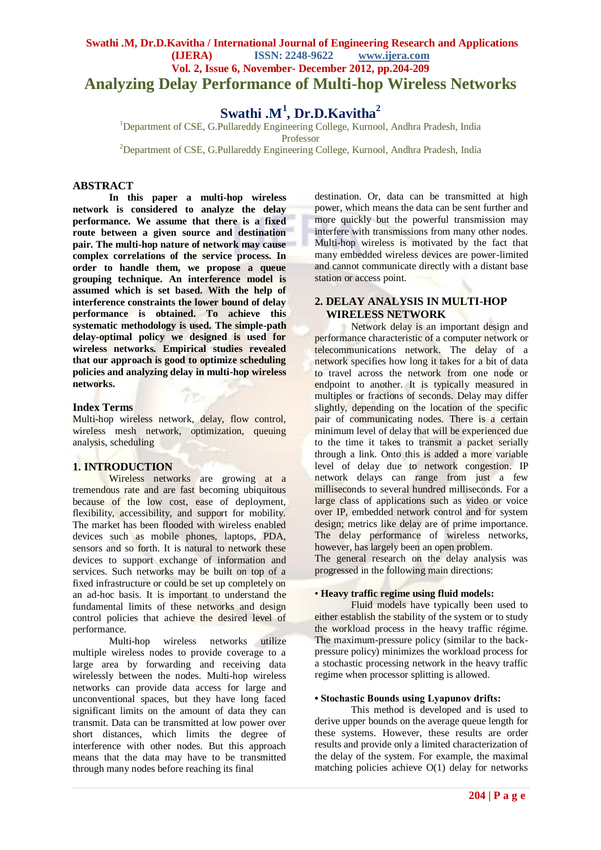# **Swathi .M, Dr.D.Kavitha / International Journal of Engineering Research and Applications (IJERA) ISSN: 2248-9622 www.ijera.com Vol. 2, Issue 6, November- December 2012, pp.204-209 Analyzing Delay Performance of Multi-hop Wireless Networks**

# **Swathi .M<sup>1</sup> , Dr.D.Kavitha<sup>2</sup>**

<sup>1</sup>Department of CSE, G.Pullareddy Engineering College, Kurnool, Andhra Pradesh, India Professor

<sup>2</sup>Department of CSE, G.Pullareddy Engineering College, Kurnool, Andhra Pradesh, India

# **ABSTRACT**

**In this paper a multi-hop wireless network is considered to analyze the delay performance. We assume that there is a fixed route between a given source and destination pair. The multi-hop nature of network may cause complex correlations of the service process. In order to handle them, we propose a queue grouping technique. An interference model is assumed which is set based. With the help of interference constraints the lower bound of delay performance is obtained. To achieve this systematic methodology is used. The simple-path delay-optimal policy we designed is used for wireless networks. Empirical studies revealed that our approach is good to optimize scheduling policies and analyzing delay in multi-hop wireless networks.** 

#### **Index Terms**

Multi-hop wireless network, delay, flow control, wireless mesh network, optimization, queuing analysis, scheduling

#### **1. INTRODUCTION**

Wireless networks are growing at a tremendous rate and are fast becoming ubiquitous because of the low cost, ease of deployment, flexibility, accessibility, and support for mobility. The market has been flooded with wireless enabled devices such as mobile phones, laptops, PDA, sensors and so forth. It is natural to network these devices to support exchange of information and services. Such networks may be built on top of a fixed infrastructure or could be set up completely on an ad-hoc basis. It is important to understand the fundamental limits of these networks and design control policies that achieve the desired level of performance.

Multi-hop wireless networks utilize multiple wireless nodes to provide coverage to a large area by forwarding and receiving data wirelessly between the nodes. Multi-hop wireless networks can provide data access for large and unconventional spaces, but they have long faced significant limits on the amount of data they can transmit. Data can be transmitted at low power over short distances, which limits the degree of interference with other nodes. But this approach means that the data may have to be transmitted through many nodes before reaching its final

destination. Or, data can be transmitted at high power, which means the data can be sent further and more quickly but the powerful transmission may interfere with transmissions from many other nodes. Multi-hop wireless is motivated by the fact that many embedded wireless devices are power-limited and cannot communicate directly with a distant base station or access point.

## **2. DELAY ANALYSIS IN MULTI-HOP WIRELESS NETWORK**

Network delay is an important design and performance characteristic of a [computer network](http://en.wikipedia.org/wiki/Computer_network) or [telecommunications network.](http://en.wikipedia.org/wiki/Telecommunications_network) The delay of a network specifies how long it takes for a bit of data to travel across the network from one node or endpoint to another. It is typically measured in multiples or fractions of seconds. Delay may differ slightly, depending on the location of the specific pair of communicating nodes. There is a certain minimum level of delay that will be experienced due to the time it takes to [transmit](http://en.wikipedia.org/wiki/Data_transmission) a packet serially through a [link.](http://en.wikipedia.org/wiki/Data_link) Onto this is added a more variable level of delay due to [network congestion.](http://en.wikipedia.org/wiki/Network_congestion) IP network delays can range from just a few milliseconds to several hundred milliseconds. For a large class of applications such as video or voice over IP, embedded network control and for system design; metrics like delay are of prime importance. The delay performance of wireless networks, however, has largely been an open problem.

The general research on the delay analysis was progressed in the following main directions:

### • **Heavy traffic regime using fluid models:**

Fluid models have typically been used to either establish the stability of the system or to study the workload process in the heavy traffic régime. The maximum-pressure policy (similar to the backpressure policy) minimizes the workload process for a stochastic processing network in the heavy traffic regime when processor splitting is allowed.

#### **• Stochastic Bounds using Lyapunov drifts:**

This method is developed and is used to derive upper bounds on the average queue length for these systems. However, these results are order results and provide only a limited characterization of the delay of the system. For example, the maximal matching policies achieve  $O(1)$  delay for networks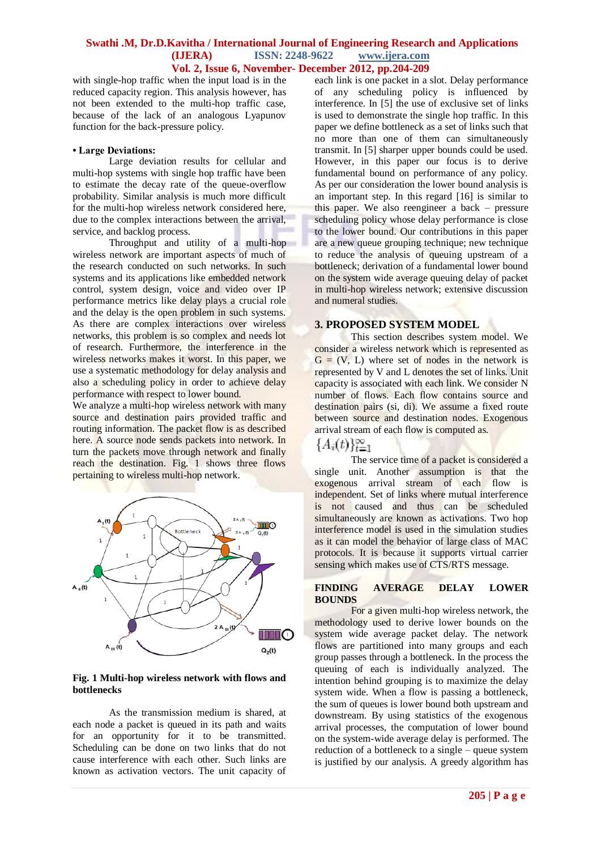with single-hop traffic when the input load is in the reduced capacity region. This analysis however, has not been extended to the multi-hop traffic case, because of the lack of an analogous Lyapunov function for the back-pressure policy.

#### **• Large Deviations:**

Large deviation results for cellular and multi-hop systems with single hop traffic have been to estimate the decay rate of the queue-overflow probability. Similar analysis is much more difficult for the multi-hop wireless network considered here, due to the complex interactions between the arrival, service, and backlog process.

Throughput and utility of a multi-hop wireless network are important aspects of much of the research conducted on such networks. In such systems and its applications like embedded network control, system design, voice and video over IP performance metrics like delay plays a crucial role and the delay is the open problem in such systems. As there are complex interactions over wireless networks, this problem is so complex and needs lot of research. Furthermore, the interference in the wireless networks makes it worst. In this paper, we use a systematic methodology for delay analysis and also a scheduling policy in order to achieve delay performance with respect to lower bound.

We analyze a multi-hop wireless network with many source and destination pairs provided traffic and routing information. The packet flow is as described here. A source node sends packets into network. In turn the packets move through network and finally reach the destination. Fig. 1 shows three flows pertaining to wireless multi-hop network.



#### **Fig. 1 Multi-hop wireless network with flows and bottlenecks**

As the transmission medium is shared, at each node a packet is queued in its path and waits for an opportunity for it to be transmitted. Scheduling can be done on two links that do not cause interference with each other. Such links are known as activation vectors. The unit capacity of each link is one packet in a slot. Delay performance of any scheduling policy is influenced by interference. In [5] the use of exclusive set of links is used to demonstrate the single hop traffic. In this paper we define bottleneck as a set of links such that no more than one of them can simultaneously transmit. In [5] sharper upper bounds could be used. However, in this paper our focus is to derive fundamental bound on performance of any policy. As per our consideration the lower bound analysis is an important step. In this regard [16] is similar to this paper. We also reengineer a back – pressure scheduling policy whose delay performance is close to the lower bound. Our contributions in this paper are a new queue grouping technique; new technique to reduce the analysis of queuing upstream of a bottleneck; derivation of a fundamental lower bound on the system wide average queuing delay of packet in multi-hop wireless network; extensive discussion and numeral studies.

## **3. PROPOSED SYSTEM MODEL**

This section describes system model. We consider a wireless network which is represented as  $G = (V, L)$  where set of nodes in the network is represented by V and L denotes the set of links. Unit capacity is associated with each link. We consider N number of flows. Each flow contains source and destination pairs (si, di). We assume a fixed route between source and destination nodes. Exogenous arrival stream of each flow is computed as.

# ${A_i(t)}_{t=1}^\infty$

The service time of a packet is considered a single unit. Another assumption is that the exogenous arrival stream of each flow is independent. Set of links where mutual interference is not caused and thus can be scheduled simultaneously are known as activations. Two hop interference model is used in the simulation studies as it can model the behavior of large class of MAC protocols. It is because it supports virtual carrier sensing which makes use of CTS/RTS message.

#### **FINDING AVERAGE DELAY LOWER BOUNDS**

For a given multi-hop wireless network, the methodology used to derive lower bounds on the system wide average packet delay. The network flows are partitioned into many groups and each group passes through a bottleneck. In the process the queuing of each is individually analyzed. The intention behind grouping is to maximize the delay system wide. When a flow is passing a bottleneck, the sum of queues is lower bound both upstream and downstream. By using statistics of the exogenous arrival processes, the computation of lower bound on the system-wide average delay is performed. The reduction of a bottleneck to a single – queue system is justified by our analysis. A greedy algorithm has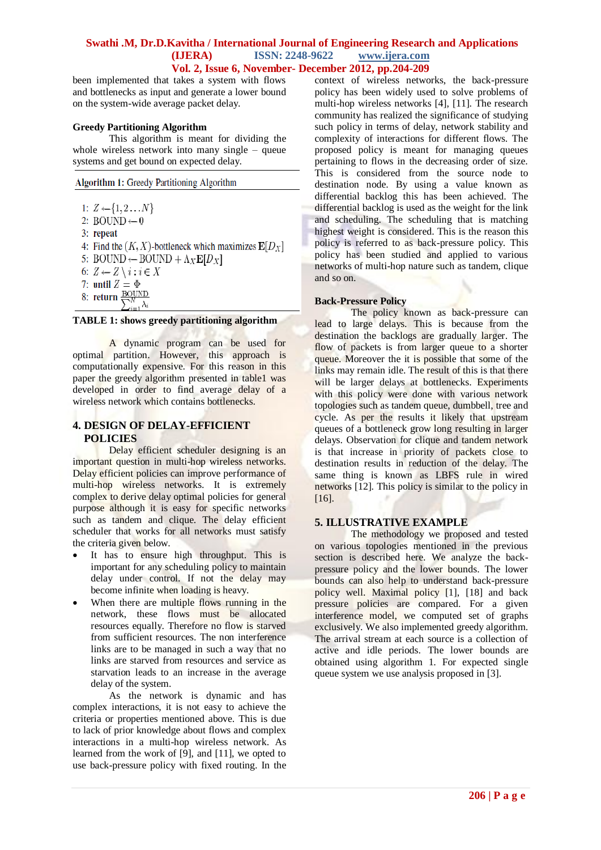been implemented that takes a system with flows and bottlenecks as input and generate a lower bound on the system-wide average packet delay.

# **Greedy Partitioning Algorithm**

This algorithm is meant for dividing the whole wireless network into many single – queue systems and get bound on expected delay.

Algorithm 1: Greedy Partitioning Algorithm

- 1:  $Z \leftarrow \{1, 2...N\}$
- 2: BOUND $\leftarrow 0$
- 3: repeat
- 4: Find the  $(K, X)$ -bottleneck which maximizes  $\mathbf{E}[D_X]$
- 5: BOUND  $\leftarrow$  BOUND +  $\Lambda_X \mathbf{E}[D_X]$
- 6:  $Z \leftarrow Z \setminus i : i \in X$
- 7: until  $Z = \Phi$
- 8: return  $\frac{BOUND}{S}$  $\sum_{i=1}^N \lambda_i$

#### **TABLE 1: shows greedy partitioning algorithm**

A dynamic program can be used for optimal partition. However, this approach is computationally expensive. For this reason in this paper the greedy algorithm presented in table1 was developed in order to find average delay of a wireless network which contains bottlenecks.

# **4. DESIGN OF DELAY-EFFICIENT POLICIES**

Delay efficient scheduler designing is an important question in multi-hop wireless networks. Delay efficient policies can improve performance of multi-hop wireless networks. It is extremely complex to derive delay optimal policies for general purpose although it is easy for specific networks such as tandem and clique. The delay efficient scheduler that works for all networks must satisfy the criteria given below.

- It has to ensure high throughput. This is important for any scheduling policy to maintain delay under control. If not the delay may become infinite when loading is heavy.
- When there are multiple flows running in the network, these flows must be allocated resources equally. Therefore no flow is starved from sufficient resources. The non interference links are to be managed in such a way that no links are starved from resources and service as starvation leads to an increase in the average delay of the system.

As the network is dynamic and has complex interactions, it is not easy to achieve the criteria or properties mentioned above. This is due to lack of prior knowledge about flows and complex interactions in a multi-hop wireless network. As learned from the work of [9], and [11], we opted to use back-pressure policy with fixed routing. In the context of wireless networks, the back-pressure policy has been widely used to solve problems of multi-hop wireless networks [4], [11]. The research community has realized the significance of studying such policy in terms of delay, network stability and complexity of interactions for different flows. The proposed policy is meant for managing queues pertaining to flows in the decreasing order of size. This is considered from the source node to destination node. By using a value known as differential backlog this has been achieved. The differential backlog is used as the weight for the link and scheduling. The scheduling that is matching highest weight is considered. This is the reason this policy is referred to as back-pressure policy. This policy has been studied and applied to various networks of multi-hop nature such as tandem, clique and so on.

## **Back-Pressure Policy**

The policy known as back-pressure can lead to large delays. This is because from the destination the backlogs are gradually larger. The flow of packets is from larger queue to a shorter queue. Moreover the it is possible that some of the links may remain idle. The result of this is that there will be larger delays at bottlenecks. Experiments with this policy were done with various network topologies such as tandem queue, dumbbell, tree and cycle. As per the results it likely that upstream queues of a bottleneck grow long resulting in larger delays. Observation for clique and tandem network is that increase in priority of packets close to destination results in reduction of the delay. The same thing is known as LBFS rule in wired networks [12]. This policy is similar to the policy in [16].

# **5. ILLUSTRATIVE EXAMPLE**

The methodology we proposed and tested on various topologies mentioned in the previous section is described here. We analyze the backpressure policy and the lower bounds. The lower bounds can also help to understand back-pressure policy well. Maximal policy [1], [18] and back pressure policies are compared. For a given interference model, we computed set of graphs exclusively. We also implemented greedy algorithm. The arrival stream at each source is a collection of active and idle periods. The lower bounds are obtained using algorithm 1. For expected single queue system we use analysis proposed in [3].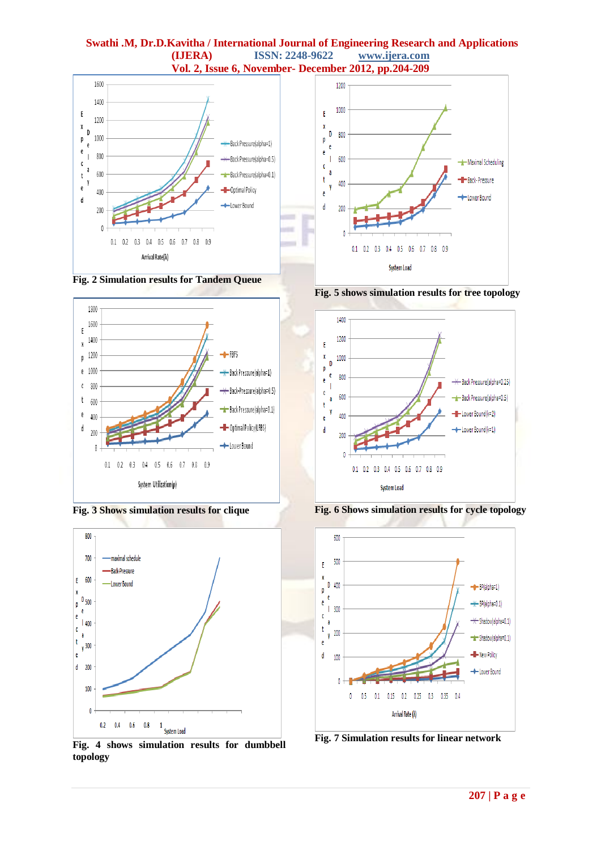









**Fig. 4 shows simulation results for dumbbell topology**



**Fig. 5 shows simulation results for tree topology**



**Fig. 6 Shows simulation results for cycle topology**



**Fig. 7 Simulation results for linear network**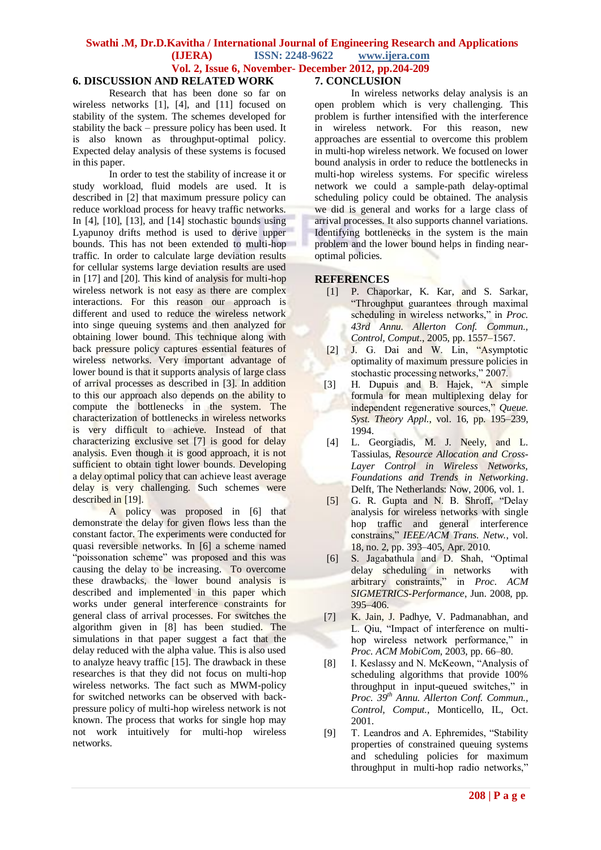# **6. DISCUSSION AND RELATED WORK**

Research that has been done so far on wireless networks [1], [4], and [11] focused on stability of the system. The schemes developed for stability the back – pressure policy has been used. It is also known as throughput-optimal policy. Expected delay analysis of these systems is focused in this paper.

In order to test the stability of increase it or study workload, fluid models are used. It is described in [2] that maximum pressure policy can reduce workload process for heavy traffic networks. In [4], [10], [13], and [14] stochastic bounds using Lyapunoy drifts method is used to derive upper bounds. This has not been extended to multi-hop traffic. In order to calculate large deviation results for cellular systems large deviation results are used in [17] and [20]. This kind of analysis for multi-hop wireless network is not easy as there are complex interactions. For this reason our approach is different and used to reduce the wireless network into singe queuing systems and then analyzed for obtaining lower bound. This technique along with back pressure policy captures essential features of wireless networks. Very important advantage of lower bound is that it supports analysis of large class of arrival processes as described in [3]. In addition to this our approach also depends on the ability to compute the bottlenecks in the system. The characterization of bottlenecks in wireless networks is very difficult to achieve. Instead of that characterizing exclusive set [7] is good for delay analysis. Even though it is good approach, it is not sufficient to obtain tight lower bounds. Developing a delay optimal policy that can achieve least average delay is very challenging. Such schemes were described in [19].

A policy was proposed in [6] that demonstrate the delay for given flows less than the constant factor. The experiments were conducted for quasi reversible networks. In [6] a scheme named "poissonation scheme" was proposed and this was causing the delay to be increasing. To overcome these drawbacks, the lower bound analysis is described and implemented in this paper which works under general interference constraints for general class of arrival processes. For switches the algorithm given in [8] has been studied. The simulations in that paper suggest a fact that the delay reduced with the alpha value. This is also used to analyze heavy traffic [15]. The drawback in these researches is that they did not focus on multi-hop wireless networks. The fact such as MWM-policy for switched networks can be observed with backpressure policy of multi-hop wireless network is not known. The process that works for single hop may not work intuitively for multi-hop wireless networks.

#### **7. CONCLUSION**

In wireless networks delay analysis is an open problem which is very challenging. This problem is further intensified with the interference in wireless network. For this reason, new approaches are essential to overcome this problem in multi-hop wireless network. We focused on lower bound analysis in order to reduce the bottlenecks in multi-hop wireless systems. For specific wireless network we could a sample-path delay-optimal scheduling policy could be obtained. The analysis we did is general and works for a large class of arrival processes. It also supports channel variations. Identifying bottlenecks in the system is the main problem and the lower bound helps in finding nearoptimal policies.

#### **REFERENCES**

- [1] P. Chaporkar, K. Kar, and S. Sarkar, "Throughput guarantees through maximal scheduling in wireless networks," in *Proc. 43rd Annu. Allerton Conf. Commun., Control, Comput.*, 2005, pp. 1557–1567.
- [2] J. G. Dai and W. Lin, "Asymptotic optimality of maximum pressure policies in stochastic processing networks," 2007.
- [3] H. Dupuis and B. Hajek, "A simple formula for mean multiplexing delay for independent regenerative sources," *Queue. Syst. Theory Appl.*, vol. 16, pp. 195–239, 1994.
- [4] L. Georgiadis, M. J. Neely, and L. Tassiulas*, Resource Allocation and Cross-Layer Control in Wireless Networks, Foundations and Trends in Networking*. Delft, The Netherlands: Now, 2006, vol. 1.
- [5] G. R. Gupta and N. B. Shroff, "Delay analysis for wireless networks with single hop traffic and general interference constrains," *IEEE/ACM Trans. Netw.*, vol. 18, no. 2, pp. 393–405, Apr. 2010.
- [6] S. Jagabathula and D. Shah, "Optimal delay scheduling in networks with arbitrary constraints," in *Proc. ACM SIGMETRICS-Performance*, Jun. 2008, pp. 395–406.
- [7] K. Jain, J. Padhye, V. Padmanabhan, and L. Qiu, "Impact of interference on multihop wireless network performance," in *Proc. ACM MobiCom*, 2003, pp. 66–80.
- [8] I. Keslassy and N. McKeown, "Analysis of scheduling algorithms that provide 100% throughput in input-queued switches," in *Proc. 39th Annu. Allerton Conf. Commun., Control, Comput.*, Monticello, IL, Oct. 2001.
- [9] T. Leandros and A. Ephremides, "Stability properties of constrained queuing systems and scheduling policies for maximum throughput in multi-hop radio networks,"